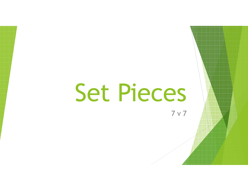# Set Pieces

7 v 7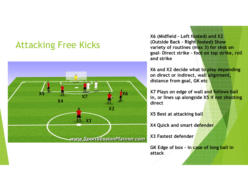#### Attacking Free Kicks



X6 (Midfield – Left footed) and X2 (Outside Back – Right footed) Show variety of routines (max 3) for shot on goal– Direct strike – foot on top strike, roll and strike

X6 and X2 decide what to play depending on direct or indirect, wall alignment, distance from goal, GK etc

X7 Plays on edge of wall and follows ball in, or lines up alongside X5 if not shooting direct

X5 Best at attacking ball

X4 Quick and smart defender

X3 Fastest defender

GK Edge of box – in case of long ball in attack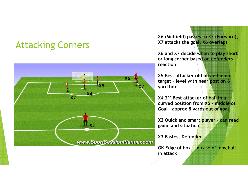#### Attacking Corners



X6 (Midfield) passes to X7 (Forward), X7 attacks the goal, X6 overlaps

X6 and X7 decide when to play short or long corner based on defenders reaction

X5 Best attacker of ball and main target - level with nea<mark>r post on 6</mark> yard box

X4 2<sup>nd</sup> Best attacker of ball in a curved position from <mark>X5 - middle of</mark> Goal - approx 8 yards out of goal

X2 Quick and smart player - can read game and situation

X3 Fastest Defender

GK Edge of box - in case of long ball in attack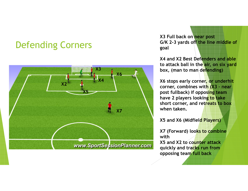## Defending Corners



X3 Full back on near post G/K 2-3 yards off the line middle of goal

X4 and X2 Best Defenders and able to attack ball in the air, on six yard box, (man to man defending)

X6 stops early corner, or underhit corner, combines with (X3 – near post fullback) if opposing team have 2 players looking to take short corner, and ret<mark>reats to box</mark> when taken.

X5 and X6 (Midfield Players)

X7 (Forward) looks to combine with

X5 and X2 to counter attack quickly and tracks run fromopposing team full back